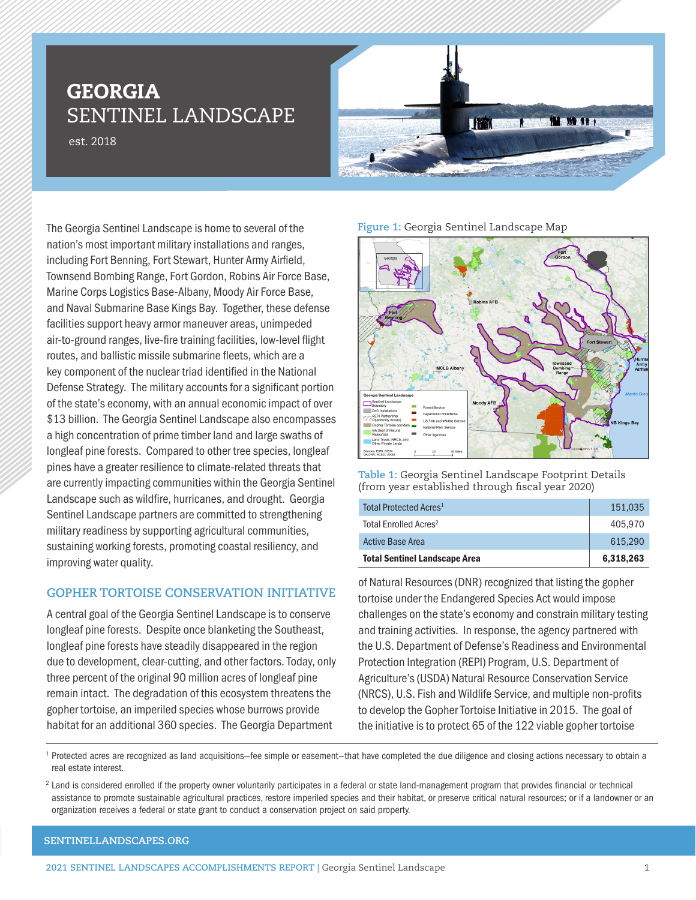# GEORGIA SENTINEL LANDSCAPE

est. 2018



The Georgia Sentinel Landscape is home to several of the nation's most important military installations and ranges, including Fort Benning, Fort Stewart, Hunter Army Airfield, Townsend Bombing Range, Fort Gordon, Robins Air Force Base, Marine Corps Logistics Base-Albany, Moody Air Force Base, and Naval Submarine Base Kings Bay. Together, these defense facilities support heavy armor maneuver areas, unimpeded air-to-ground ranges, live-fire training facilities, low-level flight routes, and ballistic missile submarine fleets, which are a key component of the nuclear triad identified in the National Defense Strategy. The military accounts for a significant portion of the state's economy, with an annual economic impact of over \$13 billion. The Georgia Sentinel Landscape also encompasses a high concentration of prime timber land and large swaths of longleaf pine forests. Compared to other tree species, longleaf pines have a greater resilience to climate-related threats that are currently impacting communities within the Georgia Sentinel Landscape such as wildfire, hurricanes, and drought. Georgia Sentinel Landscape partners are committed to strengthening military readiness by supporting agricultural communities, sustaining working forests, promoting coastal resiliency, and improving water quality.

## **GOPHER TORTOISE CONSERVATION INITIATIVE**

A central goal of the Georgia Sentinel Landscape is to conserve longleaf pine forests. Despite once blanketing the Southeast, longleaf pine forests have steadily disappeared in the region due to development, clear-cutting, and other factors. Today, only three percent of the original 90 million acres of longleaf pine remain intact. The degradation of this ecosystem threatens the gopher tortoise, an imperiled species whose burrows provide habitat for an additional 360 species. The Georgia Department

#### **Figure 1:** Georgia Sentinel Landscape Map



**Table 1:** Georgia Sentinel Landscape Footprint Details (from year established through fiscal year 2020)

| <b>Total Sentinel Landscape Area</b> | 6,318,263 |
|--------------------------------------|-----------|
| Active Base Area                     | 615.290   |
| Total Enrolled Acres <sup>2</sup>    | 405.970   |
| Total Protected Acres <sup>1</sup>   | 151.035   |

of Natural Resources (DNR) recognized that listing the gopher tortoise under the Endangered Species Act would impose challenges on the state's economy and constrain military testing and training activities. In response, the agency partnered with the U.S. Department of Defense's Readiness and Environmental Protection Integration (REPI) Program, U.S. Department of Agriculture's (USDA) Natural Resource Conservation Service (NRCS), U.S. Fish and Wildlife Service, and multiple non-profits to develop the Gopher Tortoise Initiative in 2015. The goal of the initiative is to protect 65 of the 122 viable gopher tortoise

<sup>1</sup> Protected acres are recognized as land acquisitions–fee simple or easement–that have completed the due diligence and closing actions necessary to obtain a real estate interest.

<sup>2</sup> Land is considered enrolled if the property owner voluntarily participates in a federal or state land-management program that provides financial or technical assistance to promote sustainable agricultural practices, restore imperiled species and their habitat, or preserve critical natural resources; or if a landowner or an organization receives a federal or state grant to conduct a conservation project on said property.